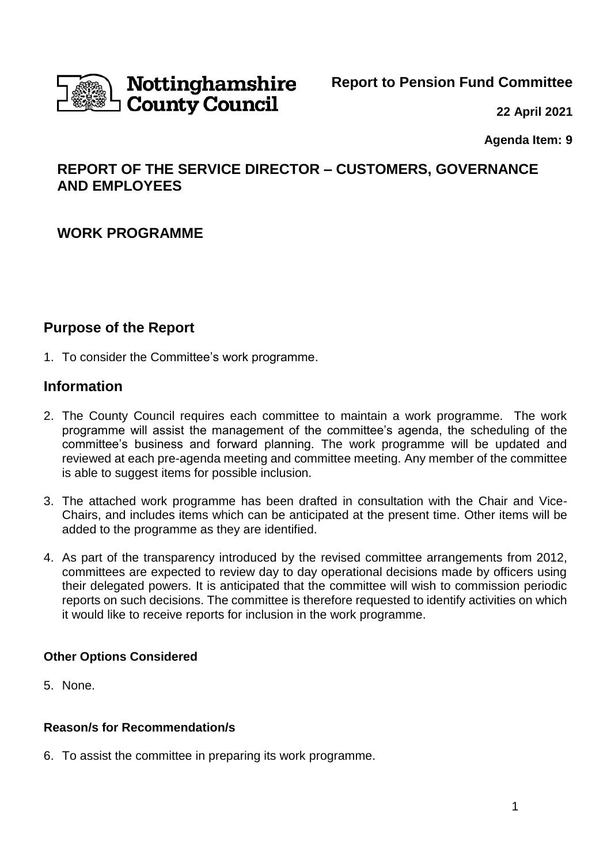

# Nottinghamshire **County Council**

### **Report to Pension Fund Committee**

**22 April 2021**

**Agenda Item: 9** 

# **REPORT OF THE SERVICE DIRECTOR – CUSTOMERS, GOVERNANCE AND EMPLOYEES**

# **WORK PROGRAMME**

# **Purpose of the Report**

1. To consider the Committee's work programme.

# **Information**

- 2. The County Council requires each committee to maintain a work programme. The work programme will assist the management of the committee's agenda, the scheduling of the committee's business and forward planning. The work programme will be updated and reviewed at each pre-agenda meeting and committee meeting. Any member of the committee is able to suggest items for possible inclusion.
- 3. The attached work programme has been drafted in consultation with the Chair and Vice-Chairs, and includes items which can be anticipated at the present time. Other items will be added to the programme as they are identified.
- 4. As part of the transparency introduced by the revised committee arrangements from 2012, committees are expected to review day to day operational decisions made by officers using their delegated powers. It is anticipated that the committee will wish to commission periodic reports on such decisions. The committee is therefore requested to identify activities on which it would like to receive reports for inclusion in the work programme.

### **Other Options Considered**

5. None.

### **Reason/s for Recommendation/s**

6. To assist the committee in preparing its work programme.